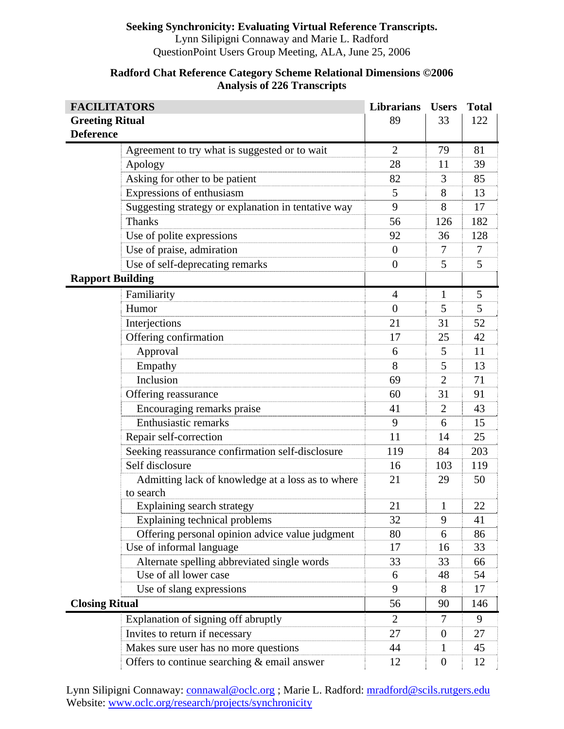## **Seeking Synchronicity: Evaluating Virtual Reference Transcripts.**

Lynn Silipigni Connaway and Marie L. Radford QuestionPoint Users Group Meeting, ALA, June 25, 2006

| <b>FACILITATORS</b>     |                                                                | <b>Librarians</b> | <b>Users</b>     | <b>Total</b> |
|-------------------------|----------------------------------------------------------------|-------------------|------------------|--------------|
| <b>Greeting Ritual</b>  |                                                                | 89                | 33               | 122          |
| <b>Deference</b>        |                                                                |                   |                  |              |
|                         | Agreement to try what is suggested or to wait                  | $\overline{2}$    | 79               | 81           |
|                         | Apology                                                        | 28                | 11               | 39           |
|                         | Asking for other to be patient                                 | 82                | 3                | 85           |
|                         | Expressions of enthusiasm                                      | 5                 | 8                | 13           |
|                         | Suggesting strategy or explanation in tentative way            | 9                 | 8                | 17           |
|                         | <b>Thanks</b>                                                  | 56                | 126              | 182          |
|                         | Use of polite expressions                                      | 92                | 36               | 128          |
|                         | Use of praise, admiration                                      | $\theta$          | 7                | 7            |
|                         | Use of self-deprecating remarks                                | $\overline{0}$    | 5                | 5            |
| <b>Rapport Building</b> |                                                                |                   |                  |              |
|                         | Familiarity                                                    | 4                 | $\mathbf{1}$     | 5            |
|                         | Humor                                                          | $\overline{0}$    | 5                | 5            |
|                         | Interjections                                                  | 21                | 31               | 52           |
|                         | Offering confirmation                                          | 17                | 25               | 42           |
|                         | Approval                                                       | 6                 | 5                | 11           |
|                         | Empathy                                                        | 8                 | 5                | 13           |
|                         | Inclusion                                                      | 69                | $\overline{2}$   | 71           |
|                         | Offering reassurance                                           | 60                | 31               | 91           |
|                         | Encouraging remarks praise                                     | 41                | 2                | 43           |
|                         | <b>Enthusiastic remarks</b>                                    | 9                 | 6                | 15           |
|                         | Repair self-correction                                         | 11                | 14               | 25           |
|                         | Seeking reassurance confirmation self-disclosure               | 119               | 84               | 203          |
|                         | Self disclosure                                                | 16                | 103              | 119          |
|                         | Admitting lack of knowledge at a loss as to where<br>to search | 21                | 29               | 50           |
|                         | Explaining search strategy                                     | 21                | 1                | 22           |
|                         | Explaining technical problems                                  | 32                | 9                | 41           |
|                         | Offering personal opinion advice value judgment                | 80                | 6                | 86           |
|                         | Use of informal language                                       | 17                | 16               | 33           |
|                         | Alternate spelling abbreviated single words                    | 33                | 33               | 66           |
|                         | Use of all lower case                                          | 6                 | 48               | 54           |
|                         | Use of slang expressions                                       | 9                 | 8                | 17           |
| <b>Closing Ritual</b>   |                                                                | 56                | 90               | 146          |
|                         | Explanation of signing off abruptly                            | 2                 | $\tau$           | 9            |
|                         | Invites to return if necessary                                 | 27                | $\mathbf{0}$     | 27           |
|                         | Makes sure user has no more questions                          | 44                | 1                | 45           |
|                         | Offers to continue searching & email answer                    | 12                | $\boldsymbol{0}$ | 12           |

## **Radford Chat Reference Category Scheme Relational Dimensions ©2006 Analysis of 226 Transcripts**

Lynn Silipigni Connaway: connawal@oclc.org ; Marie L. Radford: mradford@scils.rutgers.edu Website: www.oclc.org/research/projects/synchronicity